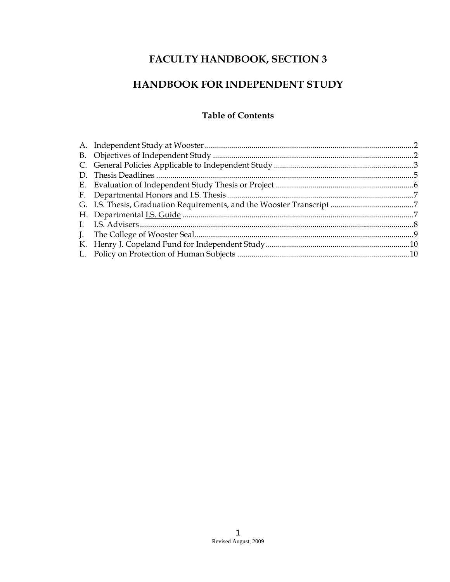# FACULTY HANDBOOK, SECTION 3

## HANDBOOK FOR INDEPENDENT STUDY

## **Table of Contents**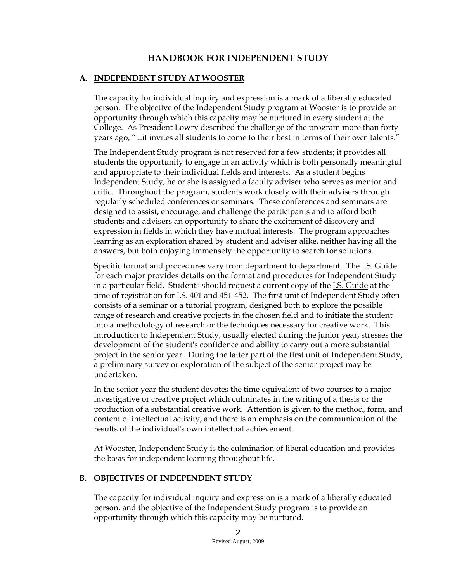## **HANDBOOK FOR INDEPENDENT STUDY**

### **A. INDEPENDENT STUDY AT WOOSTER**

The capacity for individual inquiry and expression is a mark of a liberally educated person. The objective of the Independent Study program at Wooster is to provide an opportunity through which this capacity may be nurtured in every student at the College. As President Lowry described the challenge of the program more than forty years ago, "...it invites all students to come to their best in terms of their own talents."

The Independent Study program is not reserved for a few students; it provides all students the opportunity to engage in an activity which is both personally meaningful and appropriate to their individual fields and interests. As a student begins Independent Study, he or she is assigned a faculty adviser who serves as mentor and critic. Throughout the program, students work closely with their advisers through regularly scheduled conferences or seminars. These conferences and seminars are designed to assist, encourage, and challenge the participants and to afford both students and advisers an opportunity to share the excitement of discovery and expression in fields in which they have mutual interests. The program approaches learning as an exploration shared by student and adviser alike, neither having all the answers, but both enjoying immensely the opportunity to search for solutions.

Specific format and procedures vary from department to department. The I.S. Guide for each major provides details on the format and procedures for Independent Study in a particular field. Students should request a current copy of the I.S. Guide at the time of registration for I.S. 401 and 451-452. The first unit of Independent Study often consists of a seminar or a tutorial program, designed both to explore the possible range of research and creative projects in the chosen field and to initiate the student into a methodology of research or the techniques necessary for creative work. This introduction to Independent Study, usually elected during the junior year, stresses the development of the student's confidence and ability to carry out a more substantial project in the senior year. During the latter part of the first unit of Independent Study, a preliminary survey or exploration of the subject of the senior project may be undertaken.

In the senior year the student devotes the time equivalent of two courses to a major investigative or creative project which culminates in the writing of a thesis or the production of a substantial creative work. Attention is given to the method, form, and content of intellectual activity, and there is an emphasis on the communication of the results of the individual's own intellectual achievement.

At Wooster, Independent Study is the culmination of liberal education and provides the basis for independent learning throughout life.

#### **B. OBJECTIVES OF INDEPENDENT STUDY**

The capacity for individual inquiry and expression is a mark of a liberally educated person, and the objective of the Independent Study program is to provide an opportunity through which this capacity may be nurtured.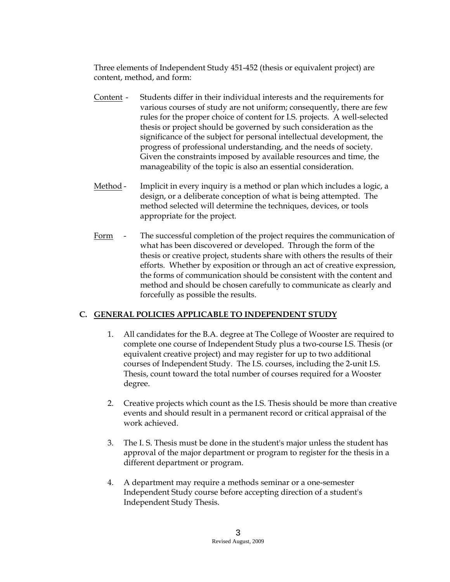Three elements of Independent Study 451-452 (thesis or equivalent project) are content, method, and form:

- Content Students differ in their individual interests and the requirements for various courses of study are not uniform; consequently, there are few rules for the proper choice of content for I.S. projects. A well-selected thesis or project should be governed by such consideration as the significance of the subject for personal intellectual development, the progress of professional understanding, and the needs of society. Given the constraints imposed by available resources and time, the manageability of the topic is also an essential consideration.
- Method Implicit in every inquiry is a method or plan which includes a logic, a design, or a deliberate conception of what is being attempted. The method selected will determine the techniques, devices, or tools appropriate for the project.
- Form The successful completion of the project requires the communication of what has been discovered or developed. Through the form of the thesis or creative project, students share with others the results of their efforts. Whether by exposition or through an act of creative expression, the forms of communication should be consistent with the content and method and should be chosen carefully to communicate as clearly and forcefully as possible the results.

## **C. GENERAL POLICIES APPLICABLE TO INDEPENDENT STUDY**

- 1. All candidates for the B.A. degree at The College of Wooster are required to complete one course of Independent Study plus a two-course I.S. Thesis (or equivalent creative project) and may register for up to two additional courses of Independent Study. The I.S. courses, including the 2-unit I.S. Thesis, count toward the total number of courses required for a Wooster degree.
- 2. Creative projects which count as the I.S. Thesis should be more than creative events and should result in a permanent record or critical appraisal of the work achieved.
- 3. The I. S. Thesis must be done in the student's major unless the student has approval of the major department or program to register for the thesis in a different department or program.
- 4. A department may require a methods seminar or a one-semester Independent Study course before accepting direction of a student's Independent Study Thesis.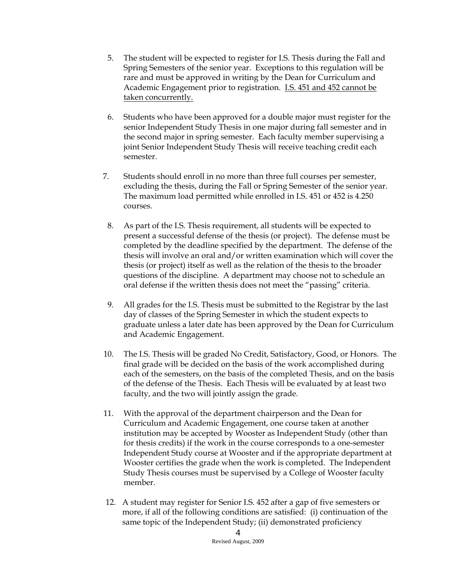- 5. The student will be expected to register for I.S. Thesis during the Fall and Spring Semesters of the senior year. Exceptions to this regulation will be rare and must be approved in writing by the Dean for Curriculum and Academic Engagement prior to registration. I.S. 451 and 452 cannot be taken concurrently.
- 6. Students who have been approved for a double major must register for the senior Independent Study Thesis in one major during fall semester and in the second major in spring semester. Each faculty member supervising a joint Senior Independent Study Thesis will receive teaching credit each semester.
- 7. Students should enroll in no more than three full courses per semester, excluding the thesis, during the Fall or Spring Semester of the senior year. The maximum load permitted while enrolled in I.S. 451 or 452 is 4.250 courses.
	- 8. As part of the I.S. Thesis requirement, all students will be expected to present a successful defense of the thesis (or project). The defense must be completed by the deadline specified by the department. The defense of the thesis will involve an oral and/or written examination which will cover the thesis (or project) itself as well as the relation of the thesis to the broader questions of the discipline. A department may choose not to schedule an oral defense if the written thesis does not meet the "passing" criteria.
	- 9. All grades for the I.S. Thesis must be submitted to the Registrar by the last day of classes of the Spring Semester in which the student expects to graduate unless a later date has been approved by the Dean for Curriculum and Academic Engagement.
- 10. The I.S. Thesis will be graded No Credit, Satisfactory, Good, or Honors. The final grade will be decided on the basis of the work accomplished during each of the semesters, on the basis of the completed Thesis, and on the basis of the defense of the Thesis. Each Thesis will be evaluated by at least two faculty, and the two will jointly assign the grade.
- 11. With the approval of the department chairperson and the Dean for Curriculum and Academic Engagement, one course taken at another institution may be accepted by Wooster as Independent Study (other than for thesis credits) if the work in the course corresponds to a one-semester Independent Study course at Wooster and if the appropriate department at Wooster certifies the grade when the work is completed. The Independent Study Thesis courses must be supervised by a College of Wooster faculty member.
- 12. A student may register for Senior I.S. 452 after a gap of five semesters or more, if all of the following conditions are satisfied: (i) continuation of the same topic of the Independent Study; (ii) demonstrated proficiency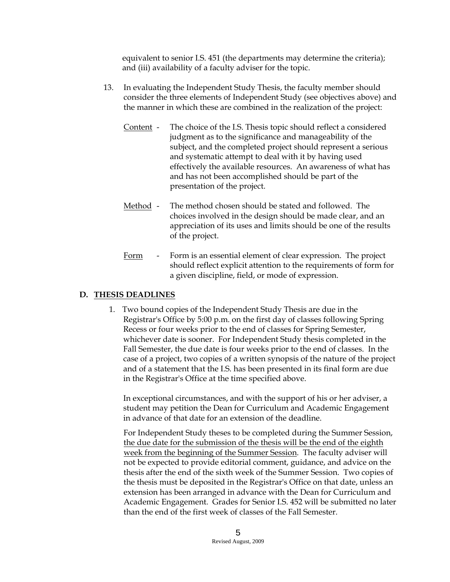equivalent to senior I.S. 451 (the departments may determine the criteria); and (iii) availability of a faculty adviser for the topic.

- 13. In evaluating the Independent Study Thesis, the faculty member should consider the three elements of Independent Study (see objectives above) and the manner in which these are combined in the realization of the project:
	- Content The choice of the I.S. Thesis topic should reflect a considered judgment as to the significance and manageability of the subject, and the completed project should represent a serious and systematic attempt to deal with it by having used effectively the available resources. An awareness of what has and has not been accomplished should be part of the presentation of the project.
	- Method The method chosen should be stated and followed. The choices involved in the design should be made clear, and an appreciation of its uses and limits should be one of the results of the project.
	- Form Form is an essential element of clear expression. The project should reflect explicit attention to the requirements of form for a given discipline, field, or mode of expression.

## **D. THESIS DEADLINES**

1. Two bound copies of the Independent Study Thesis are due in the Registrar's Office by 5:00 p.m. on the first day of classes following Spring Recess or four weeks prior to the end of classes for Spring Semester, whichever date is sooner. For Independent Study thesis completed in the Fall Semester, the due date is four weeks prior to the end of classes. In the case of a project, two copies of a written synopsis of the nature of the project and of a statement that the I.S. has been presented in its final form are due in the Registrar's Office at the time specified above.

In exceptional circumstances, and with the support of his or her adviser, a student may petition the Dean for Curriculum and Academic Engagement in advance of that date for an extension of the deadline.

For Independent Study theses to be completed during the Summer Session, the due date for the submission of the thesis will be the end of the eighth week from the beginning of the Summer Session. The faculty adviser will not be expected to provide editorial comment, guidance, and advice on the thesis after the end of the sixth week of the Summer Session. Two copies of the thesis must be deposited in the Registrar's Office on that date, unless an extension has been arranged in advance with the Dean for Curriculum and Academic Engagement. Grades for Senior I.S. 452 will be submitted no later than the end of the first week of classes of the Fall Semester.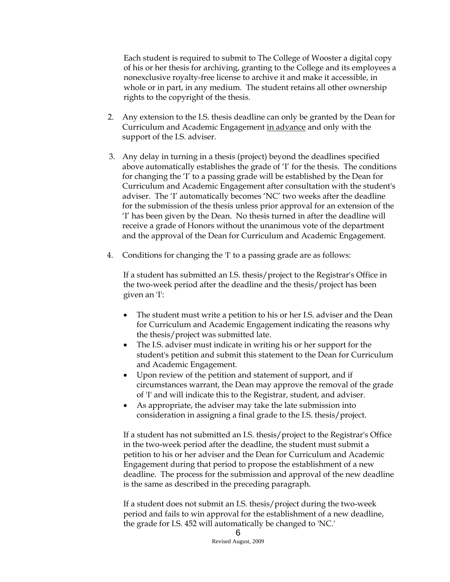Each student is required to submit to The College of Wooster a digital copy of his or her thesis for archiving, granting to the College and its employees a nonexclusive royalty-free license to archive it and make it accessible, in whole or in part, in any medium. The student retains all other ownership rights to the copyright of the thesis.

- 2. Any extension to the I.S. thesis deadline can only be granted by the Dean for Curriculum and Academic Engagement in advance and only with the support of the I.S. adviser.
- 3. Any delay in turning in a thesis (project) beyond the deadlines specified above automatically establishes the grade of 'I' for the thesis. The conditions for changing the 'I' to a passing grade will be established by the Dean for Curriculum and Academic Engagement after consultation with the student's adviser. The 'I' automatically becomes 'NC' two weeks after the deadline for the submission of the thesis unless prior approval for an extension of the 'I' has been given by the Dean. No thesis turned in after the deadline will receive a grade of Honors without the unanimous vote of the department and the approval of the Dean for Curriculum and Academic Engagement.
- 4. Conditions for changing the 'I' to a passing grade are as follows:

If a student has submitted an I.S. thesis/project to the Registrar's Office in the two-week period after the deadline and the thesis/project has been given an 'I':

- The student must write a petition to his or her I.S. adviser and the Dean for Curriculum and Academic Engagement indicating the reasons why the thesis/project was submitted late.
- The I.S. adviser must indicate in writing his or her support for the student's petition and submit this statement to the Dean for Curriculum and Academic Engagement.
- Upon review of the petition and statement of support, and if circumstances warrant, the Dean may approve the removal of the grade of 'I' and will indicate this to the Registrar, student, and adviser.
- As appropriate, the adviser may take the late submission into consideration in assigning a final grade to the I.S. thesis/project.

If a student has not submitted an I.S. thesis/project to the Registrar's Office in the two-week period after the deadline, the student must submit a petition to his or her adviser and the Dean for Curriculum and Academic Engagement during that period to propose the establishment of a new deadline. The process for the submission and approval of the new deadline is the same as described in the preceding paragraph.

If a student does not submit an I.S. thesis/project during the two-week period and fails to win approval for the establishment of a new deadline, the grade for I.S. 452 will automatically be changed to 'NC.'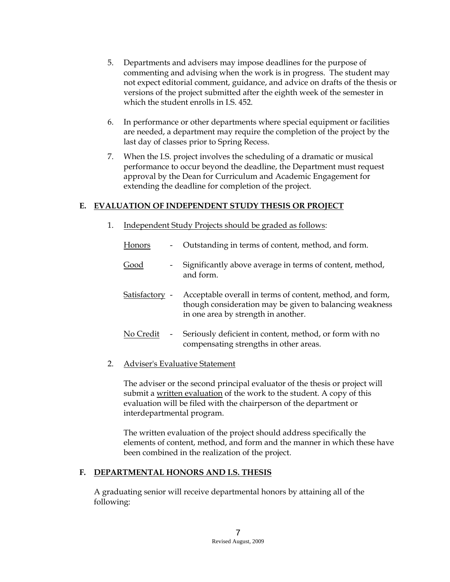- 5. Departments and advisers may impose deadlines for the purpose of commenting and advising when the work is in progress. The student may not expect editorial comment, guidance, and advice on drafts of the thesis or versions of the project submitted after the eighth week of the semester in which the student enrolls in I.S. 452.
- 6. In performance or other departments where special equipment or facilities are needed, a department may require the completion of the project by the last day of classes prior to Spring Recess.
- 7. When the I.S. project involves the scheduling of a dramatic or musical performance to occur beyond the deadline, the Department must request approval by the Dean for Curriculum and Academic Engagement for extending the deadline for completion of the project.

## **E. EVALUATION OF INDEPENDENT STUDY THESIS OR PROJECT**

1. Independent Study Projects should be graded as follows:

| Honors         | $\overline{\phantom{a}}$ | Outstanding in terms of content, method, and form.                                                                                                          |
|----------------|--------------------------|-------------------------------------------------------------------------------------------------------------------------------------------------------------|
| Good           | $\overline{\phantom{a}}$ | Significantly above average in terms of content, method,<br>and form.                                                                                       |
| Satisfactory - |                          | Acceptable overall in terms of content, method, and form,<br>though consideration may be given to balancing weakness<br>in one area by strength in another. |
| No Credit      | $\overline{\phantom{a}}$ | Seriously deficient in content, method, or form with no<br>compensating strengths in other areas.                                                           |

#### 2. Adviser's Evaluative Statement

The adviser or the second principal evaluator of the thesis or project will submit a written evaluation of the work to the student. A copy of this evaluation will be filed with the chairperson of the department or interdepartmental program.

The written evaluation of the project should address specifically the elements of content, method, and form and the manner in which these have been combined in the realization of the project.

#### **F. DEPARTMENTAL HONORS AND I.S. THESIS**

A graduating senior will receive departmental honors by attaining all of the following: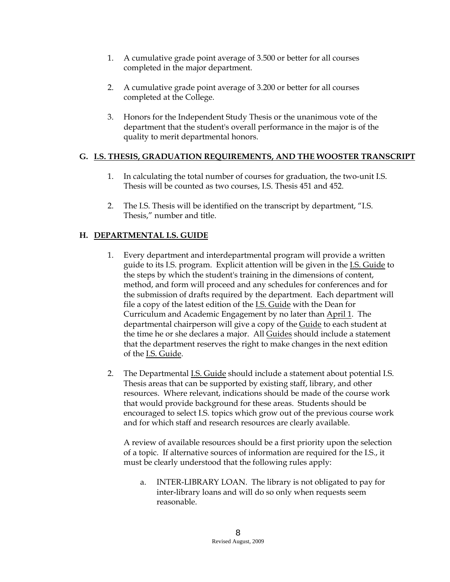- 1. A cumulative grade point average of 3.500 or better for all courses completed in the major department.
- 2. A cumulative grade point average of 3.200 or better for all courses completed at the College.
- 3. Honors for the Independent Study Thesis or the unanimous vote of the department that the student's overall performance in the major is of the quality to merit departmental honors.

#### **G. I.S. THESIS, GRADUATION REQUIREMENTS, AND THE WOOSTER TRANSCRIPT**

- 1. In calculating the total number of courses for graduation, the two-unit I.S. Thesis will be counted as two courses, I.S. Thesis 451 and 452.
- 2. The I.S. Thesis will be identified on the transcript by department, "I.S. Thesis," number and title.

## **H. DEPARTMENTAL I.S. GUIDE**

- 1. Every department and interdepartmental program will provide a written guide to its I.S. program. Explicit attention will be given in the I.S. Guide to the steps by which the student's training in the dimensions of content, method, and form will proceed and any schedules for conferences and for the submission of drafts required by the department. Each department will file a copy of the latest edition of the **I.S. Guide** with the Dean for Curriculum and Academic Engagement by no later than April 1. The departmental chairperson will give a copy of the Guide to each student at the time he or she declares a major. All Guides should include a statement that the department reserves the right to make changes in the next edition of the I.S. Guide.
- 2. The Departmental I.S. Guide should include a statement about potential I.S. Thesis areas that can be supported by existing staff, library, and other resources. Where relevant, indications should be made of the course work that would provide background for these areas. Students should be encouraged to select I.S. topics which grow out of the previous course work and for which staff and research resources are clearly available.

A review of available resources should be a first priority upon the selection of a topic. If alternative sources of information are required for the I.S., it must be clearly understood that the following rules apply:

a. INTER-LIBRARY LOAN. The library is not obligated to pay for inter-library loans and will do so only when requests seem reasonable.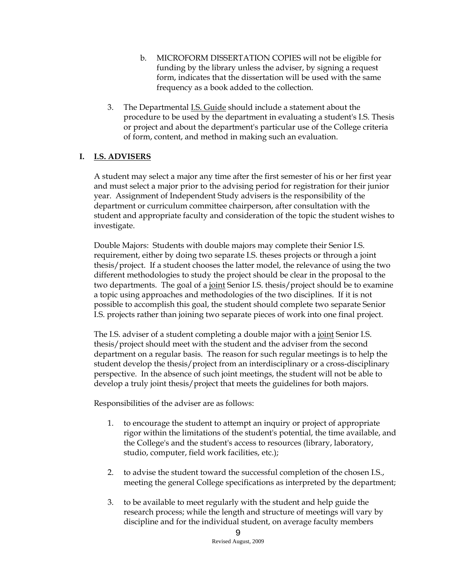- b. MICROFORM DISSERTATION COPIES will not be eligible for funding by the library unless the adviser, by signing a request form, indicates that the dissertation will be used with the same frequency as a book added to the collection.
- 3. The Departmental I.S. Guide should include a statement about the procedure to be used by the department in evaluating a student's I.S. Thesis or project and about the department's particular use of the College criteria of form, content, and method in making such an evaluation.

#### **I. I.S. ADVISERS**

A student may select a major any time after the first semester of his or her first year and must select a major prior to the advising period for registration for their junior year. Assignment of Independent Study advisers is the responsibility of the department or curriculum committee chairperson, after consultation with the student and appropriate faculty and consideration of the topic the student wishes to investigate.

Double Majors: Students with double majors may complete their Senior I.S. requirement, either by doing two separate I.S. theses projects or through a joint thesis/project. If a student chooses the latter model, the relevance of using the two different methodologies to study the project should be clear in the proposal to the two departments. The goal of a <u>joint</u> Senior I.S. thesis/project should be to examine a topic using approaches and methodologies of the two disciplines. If it is not possible to accomplish this goal, the student should complete two separate Senior I.S. projects rather than joining two separate pieces of work into one final project.

The I.S. adviser of a student completing a double major with a joint Senior I.S. thesis/project should meet with the student and the adviser from the second department on a regular basis. The reason for such regular meetings is to help the student develop the thesis/project from an interdisciplinary or a cross-disciplinary perspective. In the absence of such joint meetings, the student will not be able to develop a truly joint thesis/project that meets the guidelines for both majors.

Responsibilities of the adviser are as follows:

- 1. to encourage the student to attempt an inquiry or project of appropriate rigor within the limitations of the student's potential, the time available, and the College's and the student's access to resources (library, laboratory, studio, computer, field work facilities, etc.);
- 2. to advise the student toward the successful completion of the chosen I.S., meeting the general College specifications as interpreted by the department;
- 3. to be available to meet regularly with the student and help guide the research process; while the length and structure of meetings will vary by discipline and for the individual student, on average faculty members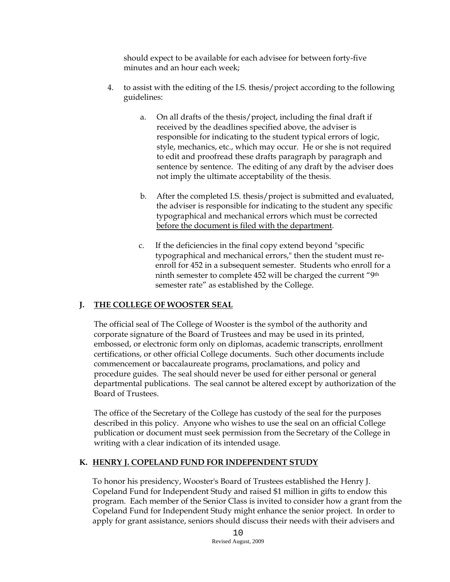should expect to be available for each advisee for between forty-five minutes and an hour each week;

- 4. to assist with the editing of the I.S. thesis/project according to the following guidelines:
	- a. On all drafts of the thesis/project, including the final draft if received by the deadlines specified above, the adviser is responsible for indicating to the student typical errors of logic, style, mechanics, etc., which may occur. He or she is not required to edit and proofread these drafts paragraph by paragraph and sentence by sentence. The editing of any draft by the adviser does not imply the ultimate acceptability of the thesis.
	- b. After the completed I.S. thesis/project is submitted and evaluated, the adviser is responsible for indicating to the student any specific typographical and mechanical errors which must be corrected before the document is filed with the department.
	- c. If the deficiencies in the final copy extend beyond "specific typographical and mechanical errors," then the student must reenroll for 452 in a subsequent semester. Students who enroll for a ninth semester to complete 452 will be charged the current "9th semester rate" as established by the College.

## **J. THE COLLEGE OF WOOSTER SEAL**

The official seal of The College of Wooster is the symbol of the authority and corporate signature of the Board of Trustees and may be used in its printed, embossed, or electronic form only on diplomas, academic transcripts, enrollment certifications, or other official College documents. Such other documents include commencement or baccalaureate programs, proclamations, and policy and procedure guides. The seal should never be used for either personal or general departmental publications. The seal cannot be altered except by authorization of the Board of Trustees.

The office of the Secretary of the College has custody of the seal for the purposes described in this policy. Anyone who wishes to use the seal on an official College publication or document must seek permission from the Secretary of the College in writing with a clear indication of its intended usage.

#### **K. HENRY J. COPELAND FUND FOR INDEPENDENT STUDY**

To honor his presidency, Wooster's Board of Trustees established the Henry J. Copeland Fund for Independent Study and raised \$1 million in gifts to endow this program. Each member of the Senior Class is invited to consider how a grant from the Copeland Fund for Independent Study might enhance the senior project. In order to apply for grant assistance, seniors should discuss their needs with their advisers and